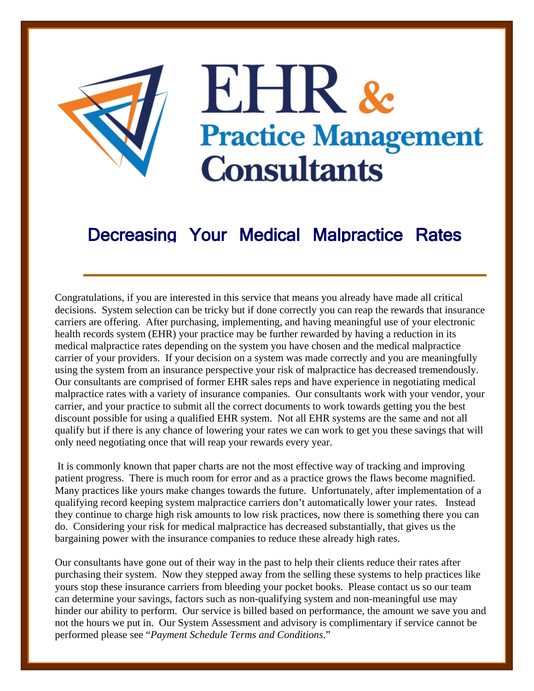

## EHR & **Practice Management Consultants**

## Decreasing Your Medical Malpractice Rates

Congratulations, if you are interested in this service that means you already have made all critical decisions. System selection can be tricky but if done correctly you can reap the rewards that insurance carriers are offering. After purchasing, implementing, and having meaningful use of your electronic health records system (EHR) your practice may be further rewarded by having a reduction in its medical malpractice rates depending on the system you have chosen and the medical malpractice carrier of your providers. If your decision on a system was made correctly and you are meaningfully using the system from an insurance perspective your risk of malpractice has decreased tremendously. Our consultants are comprised of former EHR sales reps and have experience in negotiating medical malpractice rates with a variety of insurance companies. Our consultants work with your vendor, your carrier, and your practice to submit all the correct documents to work towards getting you the best discount possible for using a qualified EHR system. Not all EHR systems are the same and not all qualify but if there is any chance of lowering your rates we can work to get you these savings that will only need negotiating once that will reap your rewards every year.

 It is commonly known that paper charts are not the most effective way of tracking and improving patient progress. There is much room for error and as a practice grows the flaws become magnified. Many practices like yours make changes towards the future. Unfortunately, after implementation of a qualifying record keeping system malpractice carriers don't automatically lower your rates. Instead they continue to charge high risk amounts to low risk practices, now there is something there you can do. Considering your risk for medical malpractice has decreased substantially, that gives us the bargaining power with the insurance companies to reduce these already high rates.

Our consultants have gone out of their way in the past to help their clients reduce their rates after purchasing their system. Now they stepped away from the selling these systems to help practices like yours stop these insurance carriers from bleeding your pocket books. Please contact us so our team can determine your savings, factors such as non-qualifying system and non-meaningful use may hinder our ability to perform. Our service is billed based on performance, the amount we save you and not the hours we put in. Our System Assessment and advisory is complimentary if service cannot be performed please see "*Payment Schedule Terms and Conditions*."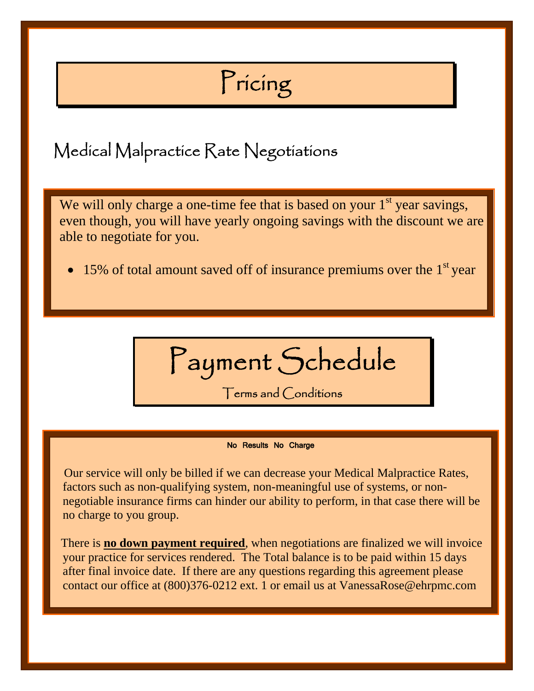## Pricing

Medical Malpractice Rate Negotiations

We will only charge a one-time fee that is based on your  $1<sup>st</sup>$  year savings, even though, you will have yearly ongoing savings with the discount we are able to negotiate for you.

• 15% of total amount saved off of insurance premiums over the  $1<sup>st</sup>$  year

Payment Schedule Terms and Conditions

No Results No Charge

 Our service will only be billed if we can decrease your Medical Malpractice Rates, factors such as non-qualifying system, non-meaningful use of systems, or nonnegotiable insurance firms can hinder our ability to perform, in that case there will be no charge to you group.

 There is **no down payment required**, when negotiations are finalized we will invoice your practice for services rendered. The Total balance is to be paid within 15 days after final invoice date. If there are any questions regarding this agreement please contact our office at (800)376-0212 ext. 1 or email us at VanessaRose@ehrpmc.com